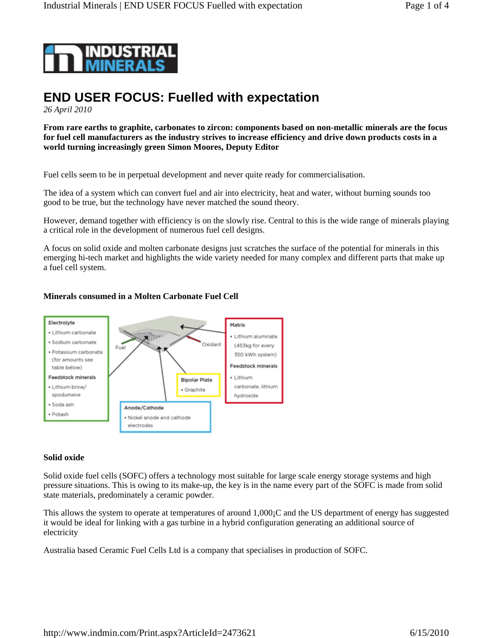

# **END USER FOCUS: Fuelled with expectation**

*26 April 2010*

**From rare earths to graphite, carbonates to zircon: components based on non-metallic minerals are the focus for fuel cell manufacturers as the industry strives to increase efficiency and drive down products costs in a world turning increasingly green Simon Moores, Deputy Editor** 

Fuel cells seem to be in perpetual development and never quite ready for commercialisation.

The idea of a system which can convert fuel and air into electricity, heat and water, without burning sounds too good to be true, but the technology have never matched the sound theory.

However, demand together with efficiency is on the slowly rise. Central to this is the wide range of minerals playing a critical role in the development of numerous fuel cell designs.

A focus on solid oxide and molten carbonate designs just scratches the surface of the potential for minerals in this emerging hi-tech market and highlights the wide variety needed for many complex and different parts that make up a fuel cell system.

## **Minerals consumed in a Molten Carbonate Fuel Cell**



## **Solid oxide**

Solid oxide fuel cells (SOFC) offers a technology most suitable for large scale energy storage systems and high pressure situations. This is owing to its make-up, the key is in the name every part of the SOFC is made from solid state materials, predominately a ceramic powder.

This allows the system to operate at temperatures of around 1,000¡C and the US department of energy has suggested it would be ideal for linking with a gas turbine in a hybrid configuration generating an additional source of electricity

Australia based Ceramic Fuel Cells Ltd is a company that specialises in production of SOFC.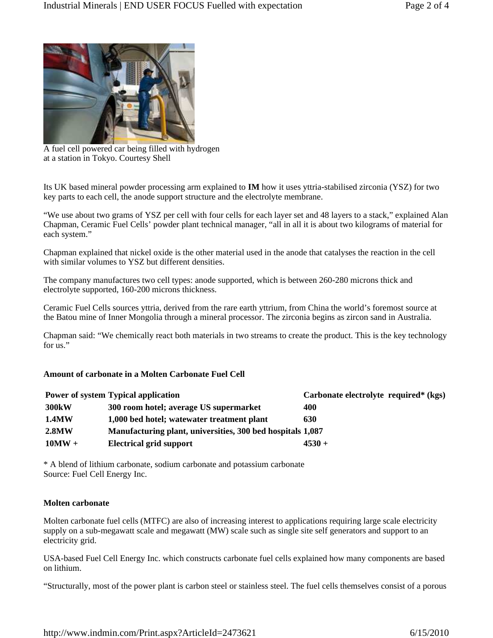

A fuel cell powered car being filled with hydrogen at a station in Tokyo. Courtesy Shell

Its UK based mineral powder processing arm explained to **IM** how it uses yttria-stabilised zirconia (YSZ) for two key parts to each cell, the anode support structure and the electrolyte membrane.

"We use about two grams of YSZ per cell with four cells for each layer set and 48 layers to a stack," explained Alan Chapman, Ceramic Fuel Cells' powder plant technical manager, "all in all it is about two kilograms of material for each system."

Chapman explained that nickel oxide is the other material used in the anode that catalyses the reaction in the cell with similar volumes to YSZ but different densities.

The company manufactures two cell types: anode supported, which is between 260-280 microns thick and electrolyte supported, 160-200 microns thickness.

Ceramic Fuel Cells sources yttria, derived from the rare earth yttrium, from China the world's foremost source at the Batou mine of Inner Mongolia through a mineral processor. The zirconia begins as zircon sand in Australia.

Chapman said: "We chemically react both materials in two streams to create the product. This is the key technology for us."

# **Amount of carbonate in a Molten Carbonate Fuel Cell**

|                    | <b>Power of system Typical application</b>                 | Carbonate electrolyte required* (kgs) |
|--------------------|------------------------------------------------------------|---------------------------------------|
| 300 <sub>k</sub> W | 300 room hotel; average US supermarket                     | 400                                   |
| <b>1.4MW</b>       | 1,000 bed hotel; watewater treatment plant                 | 630                                   |
| 2.8MW              | Manufacturing plant, universities, 300 bed hospitals 1,087 |                                       |
| $10MW +$           | <b>Electrical grid support</b>                             | $4530 +$                              |

\* A blend of lithium carbonate, sodium carbonate and potassium carbonate Source: Fuel Cell Energy Inc.

## **Molten carbonate**

Molten carbonate fuel cells (MTFC) are also of increasing interest to applications requiring large scale electricity supply on a sub-megawatt scale and megawatt (MW) scale such as single site self generators and support to an electricity grid.

USA-based Fuel Cell Energy Inc. which constructs carbonate fuel cells explained how many components are based on lithium.

"Structurally, most of the power plant is carbon steel or stainless steel. The fuel cells themselves consist of a porous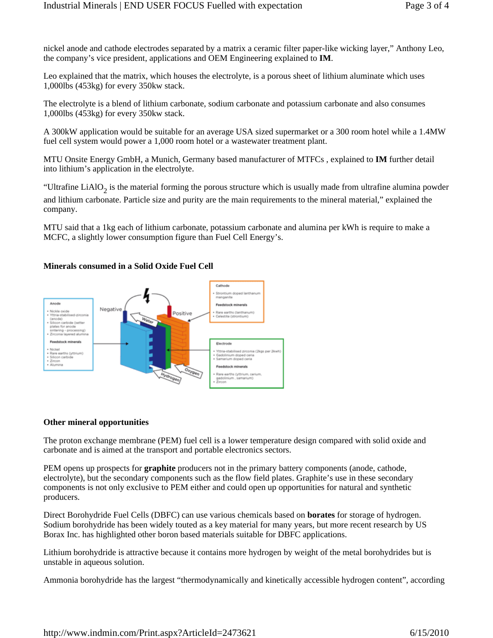nickel anode and cathode electrodes separated by a matrix a ceramic filter paper-like wicking layer," Anthony Leo, the company's vice president, applications and OEM Engineering explained to **IM**.

Leo explained that the matrix, which houses the electrolyte, is a porous sheet of lithium aluminate which uses 1,000lbs (453kg) for every 350kw stack.

The electrolyte is a blend of lithium carbonate, sodium carbonate and potassium carbonate and also consumes 1,000lbs (453kg) for every 350kw stack.

A 300kW application would be suitable for an average USA sized supermarket or a 300 room hotel while a 1.4MW fuel cell system would power a 1,000 room hotel or a wastewater treatment plant.

MTU Onsite Energy GmbH, a Munich, Germany based manufacturer of MTFCs , explained to **IM** further detail into lithium's application in the electrolyte.

"Ultrafine LiAlO<sub>2</sub> is the material forming the porous structure which is usually made from ultrafine alumina powder and lithium carbonate. Particle size and purity are the main requirements to the mineral material," explained the company.

MTU said that a 1kg each of lithium carbonate, potassium carbonate and alumina per kWh is require to make a MCFC, a slightly lower consumption figure than Fuel Cell Energy's.

## **Minerals consumed in a Solid Oxide Fuel Cell**



## **Other mineral opportunities**

The proton exchange membrane (PEM) fuel cell is a lower temperature design compared with solid oxide and carbonate and is aimed at the transport and portable electronics sectors.

PEM opens up prospects for **graphite** producers not in the primary battery components (anode, cathode, electrolyte), but the secondary components such as the flow field plates. Graphite's use in these secondary components is not only exclusive to PEM either and could open up opportunities for natural and synthetic producers.

Direct Borohydride Fuel Cells (DBFC) can use various chemicals based on **borates** for storage of hydrogen. Sodium borohydride has been widely touted as a key material for many years, but more recent research by US Borax Inc. has highlighted other boron based materials suitable for DBFC applications.

Lithium borohydride is attractive because it contains more hydrogen by weight of the metal borohydrides but is unstable in aqueous solution.

Ammonia borohydride has the largest "thermodynamically and kinetically accessible hydrogen content", according